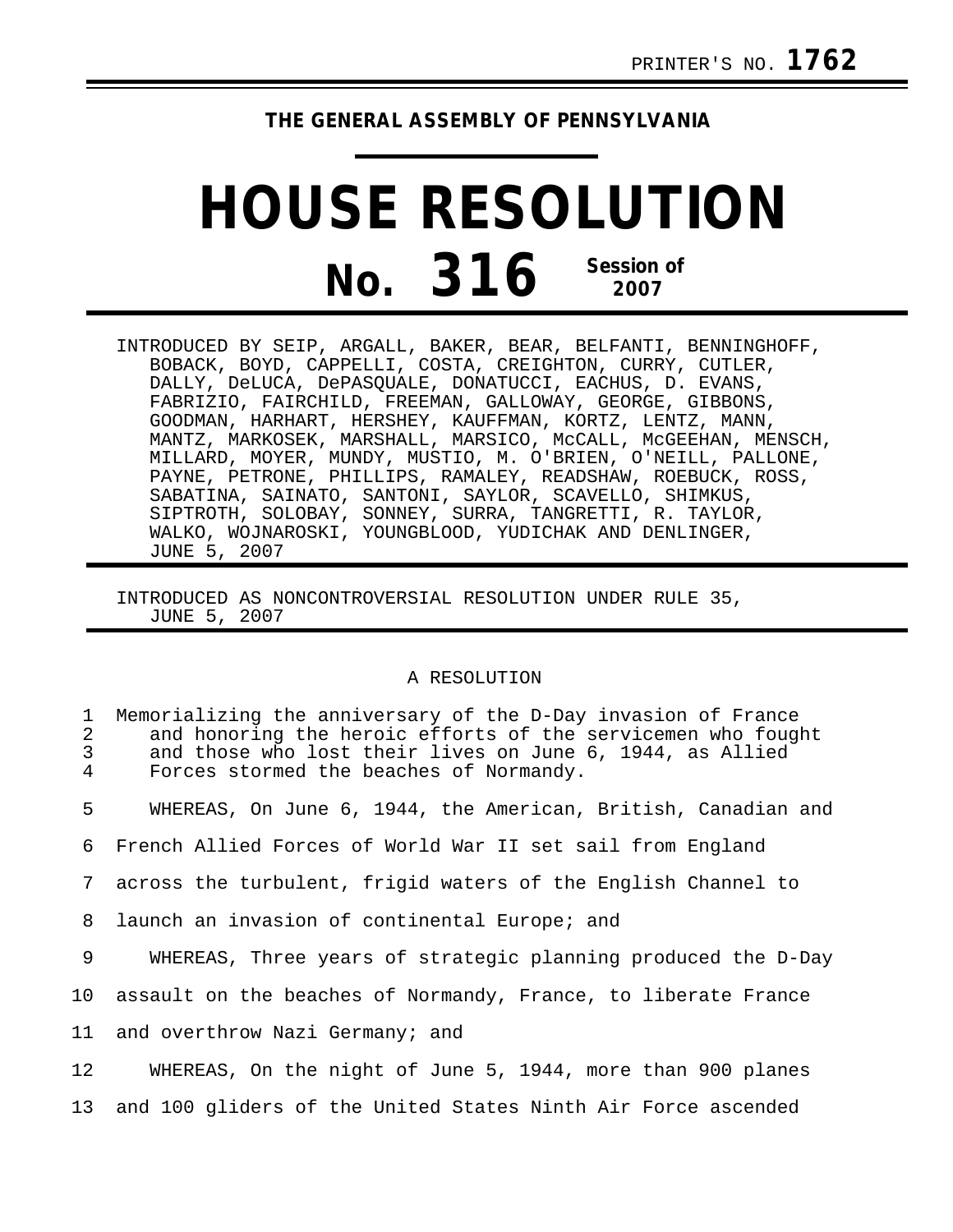## **THE GENERAL ASSEMBLY OF PENNSYLVANIA**

## **HOUSE RESOLUTION No. 316 Session of 2007**

INTRODUCED BY SEIP, ARGALL, BAKER, BEAR, BELFANTI, BENNINGHOFF, BOBACK, BOYD, CAPPELLI, COSTA, CREIGHTON, CURRY, CUTLER, DALLY, DeLUCA, DePASQUALE, DONATUCCI, EACHUS, D. EVANS, FABRIZIO, FAIRCHILD, FREEMAN, GALLOWAY, GEORGE, GIBBONS, GOODMAN, HARHART, HERSHEY, KAUFFMAN, KORTZ, LENTZ, MANN, MANTZ, MARKOSEK, MARSHALL, MARSICO, McCALL, McGEEHAN, MENSCH, MILLARD, MOYER, MUNDY, MUSTIO, M. O'BRIEN, O'NEILL, PALLONE, PAYNE, PETRONE, PHILLIPS, RAMALEY, READSHAW, ROEBUCK, ROSS, SABATINA, SAINATO, SANTONI, SAYLOR, SCAVELLO, SHIMKUS, SIPTROTH, SOLOBAY, SONNEY, SURRA, TANGRETTI, R. TAYLOR, WALKO, WOJNAROSKI, YOUNGBLOOD, YUDICHAK AND DENLINGER, JUNE 5, 2007

INTRODUCED AS NONCONTROVERSIAL RESOLUTION UNDER RULE 35, JUNE 5, 2007

## A RESOLUTION

| 1<br>2<br>3<br>4 | Memorializing the anniversary of the D-Day invasion of France<br>and honoring the heroic efforts of the servicemen who fought<br>and those who lost their lives on June 6, 1944, as Allied<br>Forces stormed the beaches of Normandy. |
|------------------|---------------------------------------------------------------------------------------------------------------------------------------------------------------------------------------------------------------------------------------|
| 5                | WHEREAS, On June 6, 1944, the American, British, Canadian and                                                                                                                                                                         |
| 6                | French Allied Forces of World War II set sail from England                                                                                                                                                                            |
| 7                | across the turbulent, frigid waters of the English Channel to                                                                                                                                                                         |
| 8                | launch an invasion of continental Europe; and                                                                                                                                                                                         |
| 9                | WHEREAS, Three years of strategic planning produced the D-Day                                                                                                                                                                         |
| 10               | assault on the beaches of Normandy, France, to liberate France                                                                                                                                                                        |
| 11               | and overthrow Nazi Germany; and                                                                                                                                                                                                       |
| 12               | WHEREAS, On the night of June 5, 1944, more than 900 planes                                                                                                                                                                           |
| 13               | and 100 gliders of the United States Ninth Air Force ascended                                                                                                                                                                         |
|                  |                                                                                                                                                                                                                                       |